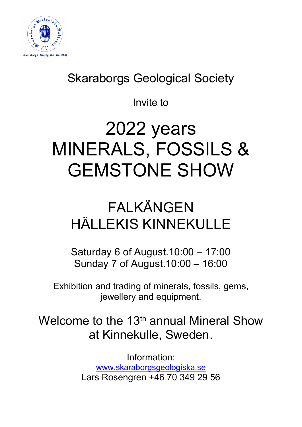

### Skaraborgs Geological Society

Invite to

# 2022 years MINERALS, FOSSILS & GEMSTONE SHOW

## FALKÄNGEN HÄLLEKIS KINNEKULLE

Saturday 6 of August.10:00 – 17:00 Sunday 7 of August.10:00 – 16:00

Exhibition and trading of minerals, fossils, gems, jewellery and equipment.

Welcome to the  $13<sup>th</sup>$  annual Mineral Show at Kinnekulle, Sweden.

> Information: www.skaraborgsgeologiska.se Lars Rosengren +46 70 349 29 56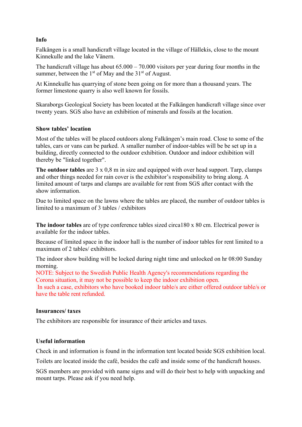#### Info

Falkängen is a small handicraft village located in the village of Hällekis, close to the mount Kinnekulle and the lake Vänern.

The handicraft village has about 65.000 – 70.000 visitors per year during four months in the summer, between the  $1<sup>st</sup>$  of May and the  $31<sup>st</sup>$  of August.

At Kinnekulle has quarrying of stone been going on for more than a thousand years. The former limestone quarry is also well known for fossils.

Skaraborgs Geological Society has been located at the Falkängen handicraft village since over twenty years. SGS also have an exhibition of minerals and fossils at the location.

#### Show tables' location

Most of the tables will be placed outdoors along Falkängen's main road. Close to some of the tables, cars or vans can be parked. A smaller number of indoor-tables will be be set up in a building, directly connected to the outdoor exhibition. Outdoor and indoor exhibition will thereby be "linked together".

The outdoor tables are 3 x 0,8 m in size and equipped with over head support. Tarp, clamps and other things needed for rain cover is the exhibitor's responsibility to bring along. A limited amount of tarps and clamps are available for rent from SGS after contact with the show information.

Due to limited space on the lawns where the tables are placed, the number of outdoor tables is limited to a maximum of 3 tables / exhibitors

The indoor tables are of type conference tables sized circa180 x 80 cm. Electrical power is available for the indoor tables.

Because of limited space in the indoor hall is the number of indoor tables for rent limited to a maximum of 2 tables/ exhibitors.

The indoor show building will be locked during night time and unlocked on hr 08:00 Sunday morning.

NOTE: Subject to the Swedish Public Health Agency's recommendations regarding the Corona situation, it may not be possible to keep the indoor exhibition open.

 In such a case, exhibitors who have booked indoor table/s are either offered outdoor table/s or have the table rent refunded.

#### Insurances/ taxes

The exhibitors are responsible for insurance of their articles and taxes.

#### Useful information

Check in and information is found in the information tent located beside SGS exhibition local.

Toilets are located inside the café, besides the café and inside some of the handicraft houses.

SGS members are provided with name signs and will do their best to help with unpacking and mount tarps. Please ask if you need help.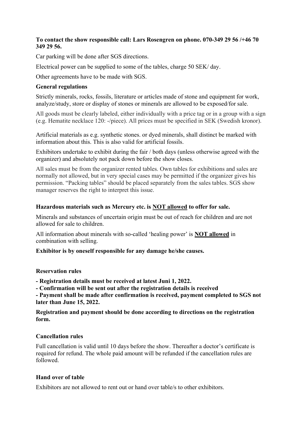#### To contact the show responsible call: Lars Rosengren on phone. 070-349 29 56 /+46 70 349 29 56.

Car parking will be done after SGS directions.

Electrical power can be supplied to some of the tables, charge 50 SEK/ day.

Other agreements have to be made with SGS.

#### General regulations

Strictly minerals, rocks, fossils, literature or articles made of stone and equipment for work, analyze/study, store or display of stones or minerals are allowed to be exposed/for sale.

All goods must be clearly labeled, either individually with a price tag or in a group with a sign (e.g. Hematite necklace 120: -/piece). All prices must be specified in SEK (Swedish kronor).

Artificial materials as e.g. synthetic stones. or dyed minerals, shall distinct be marked with information about this. This is also valid for artificial fossils.

Exhibitors undertake to exhibit during the fair / both days (unless otherwise agreed with the organizer) and absolutely not pack down before the show closes.

All sales must be from the organizer rented tables. Own tables for exhibitions and sales are normally not allowed, but in very special cases may be permitted if the organizer gives his permission. "Packing tables" should be placed separately from the sales tables. SGS show manager reserves the right to interpret this issue.

#### Hazardous materials such as Mercury etc. is NOT allowed to offer for sale.

Minerals and substances of uncertain origin must be out of reach for children and are not allowed for sale to children.

All information about minerals with so-called 'healing power' is NOT allowed in combination with selling.

Exhibitor is by oneself responsible for any damage he/she causes.

#### Reservation rules

- Registration details must be received at latest Juni 1, 2022.

- Confirmation will be sent out after the registration details is received

- Payment shall be made after confirmation is received, payment completed to SGS not later than June 15, 2022.

Registration and payment should be done according to directions on the registration form.

#### Cancellation rules

Full cancellation is valid until 10 days before the show. Thereafter a doctor's certificate is required for refund. The whole paid amount will be refunded if the cancellation rules are followed.

#### Hand over of table

Exhibitors are not allowed to rent out or hand over table/s to other exhibitors.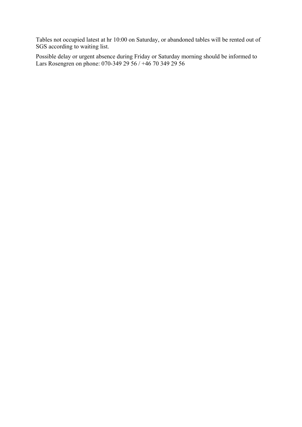Tables not occupied latest at hr 10:00 on Saturday, or abandoned tables will be rented out of SGS according to waiting list.

Possible delay or urgent absence during Friday or Saturday morning should be informed to Lars Rosengren on phone: 070-349 29 56 / +46 70 349 29 56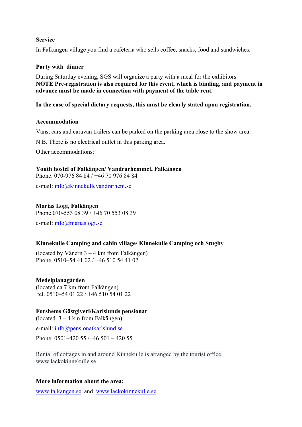#### Service

In Falkängen village you find a cafeteria who sells coffee, snacks, food and sandwiches.

#### Party with dinner

During Saturday evening, SGS will organize a party with a meal for the exhibitors. NOTE Pre-registration is also required for this event, which is binding, and payment in advance must be made in connection with payment of the table rent.

In the case of special dietary requests, this must be clearly stated upon registration.

#### Accommodation

Vans, cars and caravan trailers can be parked on the parking area close to the show area.

N.B. There is no electrical outlet in this parking area.

Other accommodations:

Youth hostel of Falkängen/ Vandrarhemmet, Falkängen Phone. 070-976 84 84 / +46 70 976 84 84 e-mail: info@kinnekullevandrarhem.se

Marias Logi, Falkängen

Phone 070-553 08 39 / +46 70 553 08 39

e-mail: info@mariaslogi.se

#### Kinnekulle Camping and cabin village/ Kinnekulle Camping och Stugby

(located by Vänern 3 – 4 km from Falkängen) Phone. 0510–54 41 02 / +46 510 54 41 02

#### Medelplanagården

(located ca 7 km from Falkängen) tel. 0510–54 01 22 / +46 510 54 01 22

#### Forshems Gästgiveri/Karlslunds pensionat

(located 3 – 4 km from Falkängen)

e-mail: info@pensionatkarlslund.se

Phone: 0501–420 55 /+46 501 – 420 55

Rental of cottages in and around Kinnekulle is arranged by the tourist office. www.lackokinnekulle.se

#### More information about the area:

www.falkangen.se and www.lackokinnekulle.se